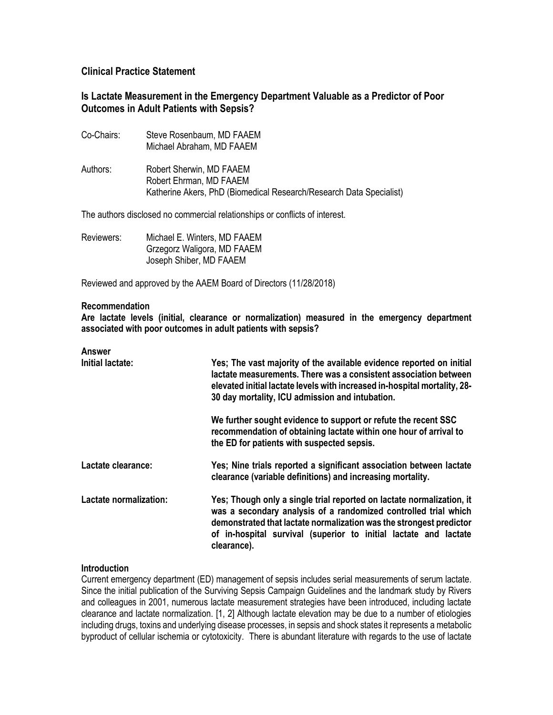## **Clinical Practice Statement**

# **Is Lactate Measurement in the Emergency Department Valuable as a Predictor of Poor Outcomes in Adult Patients with Sepsis?**

Co-Chairs: Steve Rosenbaum, MD FAAEM Michael Abraham, MD FAAEM Authors: Robert Sherwin, MD FAAEM Robert Ehrman, MD FAAEM Katherine Akers, PhD (Biomedical Research/Research Data Specialist)

The authors disclosed no commercial relationships or conflicts of interest.

| Reviewers: | Michael E. Winters, MD FAAEM |
|------------|------------------------------|
|            | Grzegorz Waligora, MD FAAEM  |
|            | Joseph Shiber, MD FAAEM      |

Reviewed and approved by the AAEM Board of Directors (11/28/2018)

#### **Recommendation**

**Are lactate levels (initial, clearance or normalization) measured in the emergency department associated with poor outcomes in adult patients with sepsis?**

### **Answer**

| Initial lactate:       | Yes; The vast majority of the available evidence reported on initial<br>lactate measurements. There was a consistent association between<br>elevated initial lactate levels with increased in-hospital mortality, 28-<br>30 day mortality, ICU admission and intubation.                           |
|------------------------|----------------------------------------------------------------------------------------------------------------------------------------------------------------------------------------------------------------------------------------------------------------------------------------------------|
|                        | We further sought evidence to support or refute the recent SSC<br>recommendation of obtaining lactate within one hour of arrival to<br>the ED for patients with suspected sepsis.                                                                                                                  |
| Lactate clearance:     | Yes; Nine trials reported a significant association between lactate<br>clearance (variable definitions) and increasing mortality.                                                                                                                                                                  |
| Lactate normalization: | Yes; Though only a single trial reported on lactate normalization, it<br>was a secondary analysis of a randomized controlled trial which<br>demonstrated that lactate normalization was the strongest predictor<br>of in-hospital survival (superior to initial lactate and lactate<br>clearance). |

#### **Introduction**

Current emergency department (ED) management of sepsis includes serial measurements of serum lactate. Since the initial publication of the Surviving Sepsis Campaign Guidelines and the landmark study by Rivers and colleagues in 2001, numerous lactate measurement strategies have been introduced, including lactate clearance and lactate normalization. [1, 2] Although lactate elevation may be due to a number of etiologies including drugs, toxins and underlying disease processes, in sepsis and shock states it represents a metabolic byproduct of cellular ischemia or cytotoxicity. There is abundant literature with regards to the use of lactate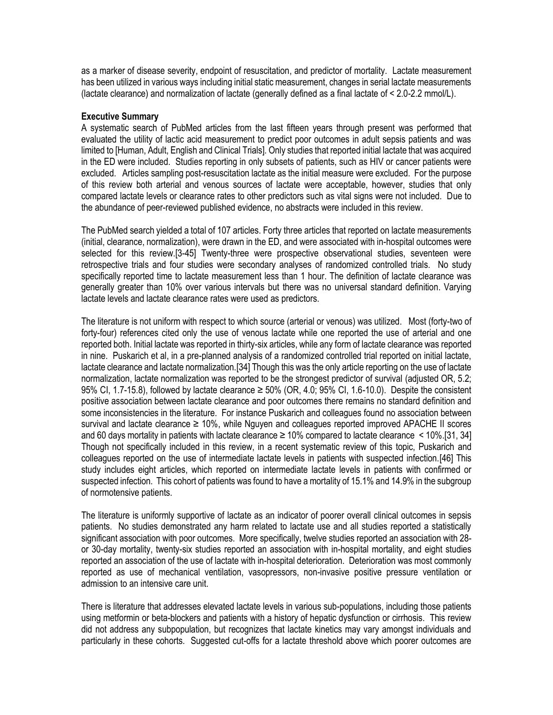as a marker of disease severity, endpoint of resuscitation, and predictor of mortality. Lactate measurement has been utilized in various ways including initial static measurement, changes in serial lactate measurements (lactate clearance) and normalization of lactate (generally defined as a final lactate of < 2.0-2.2 mmol/L).

#### **Executive Summary**

A systematic search of PubMed articles from the last fifteen years through present was performed that evaluated the utility of lactic acid measurement to predict poor outcomes in adult sepsis patients and was limited to [Human, Adult, English and Clinical Trials]. Only studies that reported initial lactate that was acquired in the ED were included. Studies reporting in only subsets of patients, such as HIV or cancer patients were excluded. Articles sampling post-resuscitation lactate as the initial measure were excluded. For the purpose of this review both arterial and venous sources of lactate were acceptable, however, studies that only compared lactate levels or clearance rates to other predictors such as vital signs were not included. Due to the abundance of peer-reviewed published evidence, no abstracts were included in this review.

The PubMed search yielded a total of 107 articles. Forty three articles that reported on lactate measurements (initial, clearance, normalization), were drawn in the ED, and were associated with in-hospital outcomes were selected for this review.[3-45] Twenty-three were prospective observational studies, seventeen were retrospective trials and four studies were secondary analyses of randomized controlled trials. No study specifically reported time to lactate measurement less than 1 hour. The definition of lactate clearance was generally greater than 10% over various intervals but there was no universal standard definition. Varying lactate levels and lactate clearance rates were used as predictors.

The literature is not uniform with respect to which source (arterial or venous) was utilized. Most (forty-two of forty-four) references cited only the use of venous lactate while one reported the use of arterial and one reported both. Initial lactate was reported in thirty-six articles, while any form of lactate clearance was reported in nine. Puskarich et al, in a pre-planned analysis of a randomized controlled trial reported on initial lactate, lactate clearance and lactate normalization.[34] Though this was the only article reporting on the use of lactate normalization, lactate normalization was reported to be the strongest predictor of survival (adjusted OR, 5.2; 95% CI, 1.7-15.8), followed by lactate clearance  $\geq$  50% (OR, 4.0; 95% CI, 1.6-10.0). Despite the consistent positive association between lactate clearance and poor outcomes there remains no standard definition and some inconsistencies in the literature. For instance Puskarich and colleagues found no association between survival and lactate clearance ≥ 10%, while Nguyen and colleagues reported improved APACHE II scores and 60 days mortality in patients with lactate clearance  $\geq 10\%$  compared to lactate clearance  $\leq 10\%$ . [31, 34] Though not specifically included in this review, in a recent systematic review of this topic, Puskarich and colleagues reported on the use of intermediate lactate levels in patients with suspected infection.[46] This study includes eight articles, which reported on intermediate lactate levels in patients with confirmed or suspected infection. This cohort of patients was found to have a mortality of 15.1% and 14.9% in the subgroup of normotensive patients.

The literature is uniformly supportive of lactate as an indicator of poorer overall clinical outcomes in sepsis patients. No studies demonstrated any harm related to lactate use and all studies reported a statistically significant association with poor outcomes. More specifically, twelve studies reported an association with 28 or 30-day mortality, twenty-six studies reported an association with in-hospital mortality, and eight studies reported an association of the use of lactate with in-hospital deterioration. Deterioration was most commonly reported as use of mechanical ventilation, vasopressors, non-invasive positive pressure ventilation or admission to an intensive care unit.

There is literature that addresses elevated lactate levels in various sub-populations, including those patients using metformin or beta-blockers and patients with a history of hepatic dysfunction or cirrhosis. This review did not address any subpopulation, but recognizes that lactate kinetics may vary amongst individuals and particularly in these cohorts. Suggested cut-offs for a lactate threshold above which poorer outcomes are